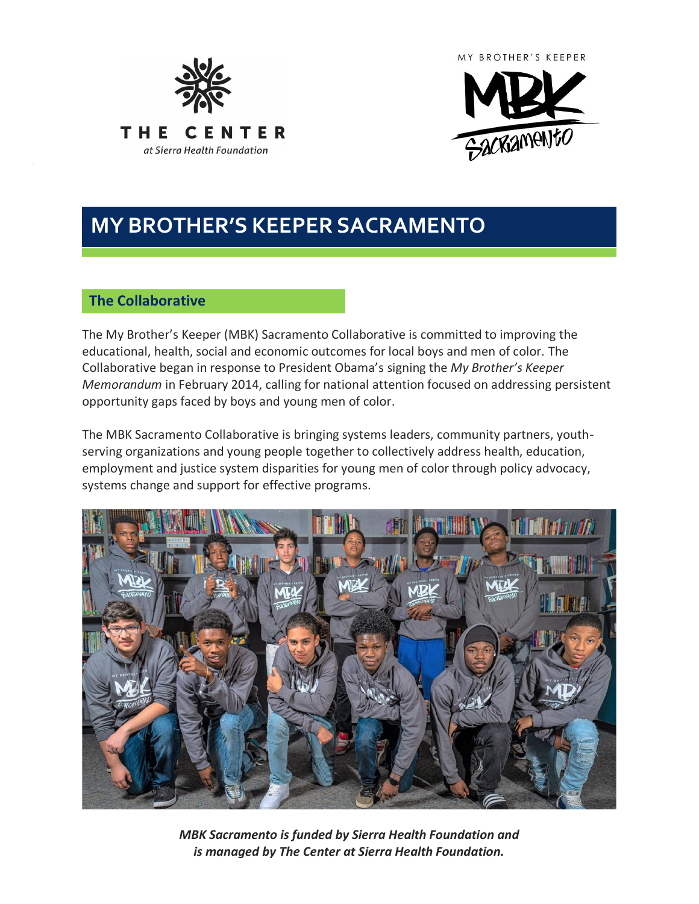



# **MY BROTHER'S KEEPER SACRAMENTO**

# **The Collaborative**

The My Brother's Keeper (MBK) Sacramento Collaborative is committed to improving the educational, health, social and economic outcomes for local boys and men of color. The Collaborative began in response to President Obama's signing the *My Brother's Keeper Memorandum* in February 2014, calling for national attention focused on addressing persistent opportunity gaps faced by boys and young men of color.

The MBK Sacramento Collaborative is bringing systems leaders, community partners, youthserving organizations and young people together to collectively address health, education, employment and justice system disparities for young men of color through policy advocacy, systems change and support for effective programs.



*MBK Sacramento is funded by Sierra Health Foundation and is managed by The Center at Sierra Health Foundation.*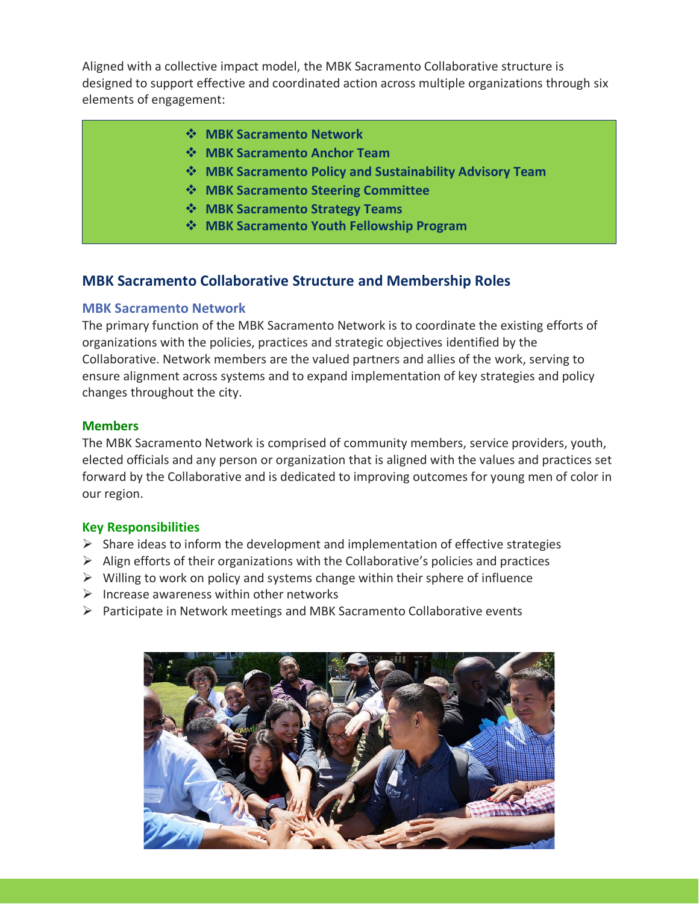Aligned with a collective impact model, the MBK Sacramento Collaborative structure is designed to support effective and coordinated action across multiple organizations through six elements of engagement:

- ❖ **MBK Sacramento Network**
- ❖ **MBK Sacramento Anchor Team**
- ❖ **MBK Sacramento Policy and Sustainability Advisory Team**
- ❖ **MBK Sacramento Steering Committee**
- ❖ **MBK Sacramento Strategy Teams**
- ❖ **MBK Sacramento Youth Fellowship Program**

# **MBK Sacramento Collaborative Structure and Membership Roles**

#### **MBK Sacramento Network**

The primary function of the MBK Sacramento Network is to coordinate the existing efforts of organizations with the policies, practices and strategic objectives identified by the Collaborative. Network members are the valued partners and allies of the work, serving to ensure alignment across systems and to expand implementation of key strategies and policy changes throughout the city.

#### **Members**

The MBK Sacramento Network is comprised of community members, service providers, youth, elected officials and any person or organization that is aligned with the values and practices set forward by the Collaborative and is dedicated to improving outcomes for young men of color in our region.

#### **Key Responsibilities**

- $\triangleright$  Share ideas to inform the development and implementation of effective strategies
- $\triangleright$  Align efforts of their organizations with the Collaborative's policies and practices
- $\triangleright$  Willing to work on policy and systems change within their sphere of influence
- $\triangleright$  Increase awareness within other networks
- $\triangleright$  Participate in Network meetings and MBK Sacramento Collaborative events

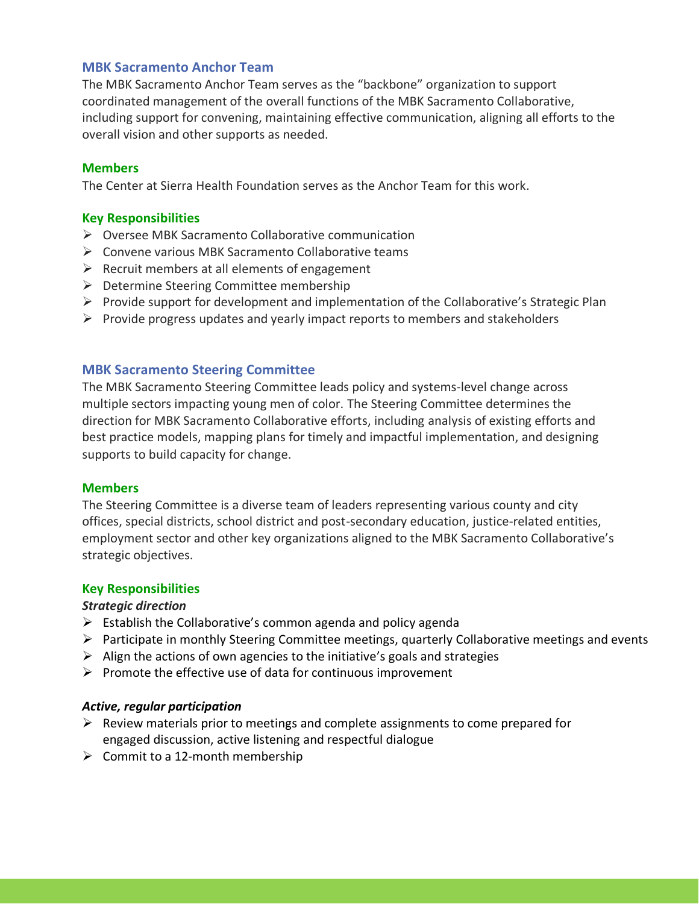#### **MBK Sacramento Anchor Team**

The MBK Sacramento Anchor Team serves as the "backbone" organization to support coordinated management of the overall functions of the MBK Sacramento Collaborative, including support for convening, maintaining effective communication, aligning all efforts to the overall vision and other supports as needed.

#### **Members**

The Center at Sierra Health Foundation serves as the Anchor Team for this work.

### **Key Responsibilities**

- ➢ Oversee MBK Sacramento Collaborative communication
- ➢ Convene various MBK Sacramento Collaborative teams
- $\triangleright$  Recruit members at all elements of engagement
- $\triangleright$  Determine Steering Committee membership
- $\triangleright$  Provide support for development and implementation of the Collaborative's Strategic Plan
- $\triangleright$  Provide progress updates and yearly impact reports to members and stakeholders

# **MBK Sacramento Steering Committee**

The MBK Sacramento Steering Committee leads policy and systems-level change across multiple sectors impacting young men of color. The Steering Committee determines the direction for MBK Sacramento Collaborative efforts, including analysis of existing efforts and best practice models, mapping plans for timely and impactful implementation, and designing supports to build capacity for change.

#### **Members**

The Steering Committee is a diverse team of leaders representing various county and city offices, special districts, school district and post-secondary education, justice-related entities, employment sector and other key organizations aligned to the MBK Sacramento Collaborative's strategic objectives.

#### **Key Responsibilities**

#### *Strategic direction*

- $\triangleright$  Establish the Collaborative's common agenda and policy agenda
- ➢ Participate in monthly Steering Committee meetings, quarterly Collaborative meetings and events
- $\triangleright$  Align the actions of own agencies to the initiative's goals and strategies
- $\triangleright$  Promote the effective use of data for continuous improvement

#### *Active, regular participation*

- $\triangleright$  Review materials prior to meetings and complete assignments to come prepared for engaged discussion, active listening and respectful dialogue
- $\triangleright$  Commit to a 12-month membership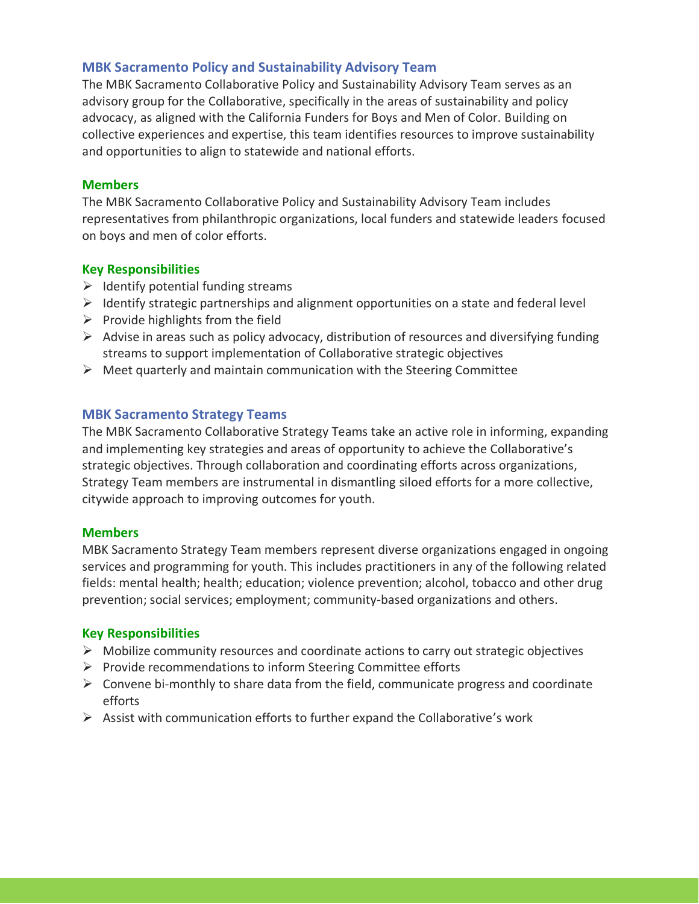# **MBK Sacramento Policy and Sustainability Advisory Team**

The MBK Sacramento Collaborative Policy and Sustainability Advisory Team serves as an advisory group for the Collaborative, specifically in the areas of sustainability and policy advocacy, as aligned with the California Funders for Boys and Men of Color. Building on collective experiences and expertise, this team identifies resources to improve sustainability and opportunities to align to statewide and national efforts.

#### **Members**

The MBK Sacramento Collaborative Policy and Sustainability Advisory Team includes representatives from philanthropic organizations, local funders and statewide leaders focused on boys and men of color efforts.

#### **Key Responsibilities**

- $\triangleright$  Identify potential funding streams
- ➢ Identify strategic partnerships and alignment opportunities on a state and federal level
- $\triangleright$  Provide highlights from the field
- $\triangleright$  Advise in areas such as policy advocacy, distribution of resources and diversifying funding streams to support implementation of Collaborative strategic objectives
- $\triangleright$  Meet quarterly and maintain communication with the Steering Committee

#### **MBK Sacramento Strategy Teams**

The MBK Sacramento Collaborative Strategy Teams take an active role in informing, expanding and implementing key strategies and areas of opportunity to achieve the Collaborative's strategic objectives. Through collaboration and coordinating efforts across organizations, Strategy Team members are instrumental in dismantling siloed efforts for a more collective, citywide approach to improving outcomes for youth.

#### **Members**

MBK Sacramento Strategy Team members represent diverse organizations engaged in ongoing services and programming for youth. This includes practitioners in any of the following related fields: mental health; health; education; violence prevention; alcohol, tobacco and other drug prevention; social services; employment; community-based organizations and others.

#### **Key Responsibilities**

- $\triangleright$  Mobilize community resources and coordinate actions to carry out strategic objectives
- ➢ Provide recommendations to inform Steering Committee efforts
- $\triangleright$  Convene bi-monthly to share data from the field, communicate progress and coordinate efforts
- $\triangleright$  Assist with communication efforts to further expand the Collaborative's work